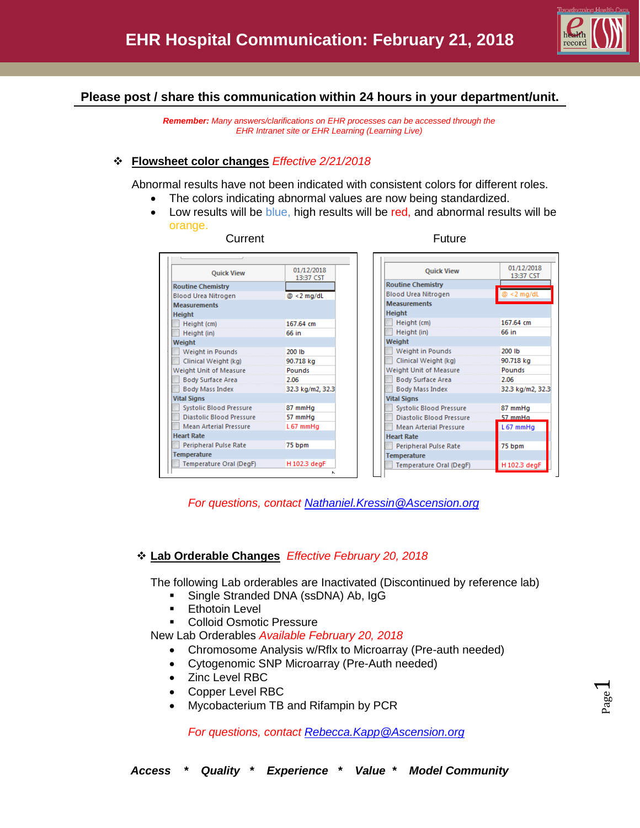

### **Please post / share this communication within 24 hours in your department/unit.**

*Remember: Many answers/clarifications on EHR processes can be accessed through the EHR Intranet site or EHR Learning (Learning Live)*

#### **Flowsheet color changes** *Effective 2/21/2018*

Abnormal results have not been indicated with consistent colors for different roles.

- The colors indicating abnormal values are now being standardized.
- Low results will be blue, high results will be red, and abnormal results will be orange.

| <b>Quick View</b>                                                   | 01/12/2018<br>13:37 CST |
|---------------------------------------------------------------------|-------------------------|
| <b>Routine Chemistry</b>                                            |                         |
| <b>Blood Urea Nitrogen</b>                                          | $@ < 2$ mg/dL           |
| <b>Measurements</b><br><b>Height</b>                                |                         |
| Height (cm)                                                         | 167.64 cm               |
| Height (in)                                                         | 66 in                   |
| Weight                                                              |                         |
| Weight in Pounds                                                    | 200 lb                  |
| Clinical Weight (kg)                                                | 90.718 kg               |
| Weight Unit of Measure                                              | Pounds                  |
| <b>Body Surface Area</b>                                            | 2.06                    |
| <b>Body Mass Index</b>                                              | 32.3 kg/m2, 32.3        |
| <b>Vital Signs</b>                                                  |                         |
| Systolic Blood Pressure 87 mmHg<br>Diastolic Blood Pressure 57 mmHg |                         |
|                                                                     |                         |
| <b>Mean Arterial Pressure</b>                                       | L67 mmHg                |
| <b>Heart Rate</b>                                                   |                         |
| <b>Peripheral Pulse Rate</b>                                        | 75 bpm                  |
| <b>Temperature</b>                                                  |                         |
| Temperature Oral (DegF)                                             | H 102.3 degF            |
|                                                                     |                         |

Current **Future Future** 

| <b>Quick View</b>               | 01/12/2018<br>13:37 CST |
|---------------------------------|-------------------------|
| <b>Routine Chemistry</b>        |                         |
| <b>Blood Urea Nitrogen</b>      | $@ < 2$ mg/dL           |
| <b>Measurements</b>             |                         |
| <b>Height</b>                   |                         |
| Height (cm)                     | 167.64 cm               |
| Height (in)                     | 66 in                   |
| Weight                          |                         |
| Weight in Pounds                | 200 lb                  |
| Clinical Weight (kg)            | 90.718 kg               |
| Weight Unit of Measure          | Pounds                  |
| <b>Body Surface Area</b>        | 2.06                    |
| <b>Body Mass Index</b>          | 32.3 kg/m2, 32.3        |
| <b>Vital Signs</b>              |                         |
| <b>Systolic Blood Pressure</b>  | 87 mmHg                 |
| <b>Diastolic Blood Pressure</b> | 57 mmHa                 |
| <b>Mean Arterial Pressure</b>   | L67 mmHg                |
| <b>Heart Rate</b>               |                         |
| <b>Peripheral Pulse Rate</b>    | 75 bpm                  |
| <b>Temperature</b>              |                         |
| Temperature Oral (DegF)         | H 102.3 degF            |

*For questions, contact [Nathaniel.Kressin@Ascension.org](mailto:Nathaniel.Kressin@Ascension.org)*

### **Lab Orderable Changes** *Effective February 20, 2018*

The following Lab orderables are Inactivated (Discontinued by reference lab)

- **Single Stranded DNA (ssDNA) Ab, IgG**
- **Ethotoin Level**
- Colloid Osmotic Pressure

New Lab Orderables *Available February 20, 2018*

- Chromosome Analysis w/Rflx to Microarray (Pre-auth needed)
- Cytogenomic SNP Microarray (Pre-Auth needed)
- Zinc Level RBC
- Copper Level RBC
- Mycobacterium TB and Rifampin by PCR

*For questions, contact [Rebecca.Kapp@Ascension.org](mailto:Rebecca.Kapp@Ascension.org)*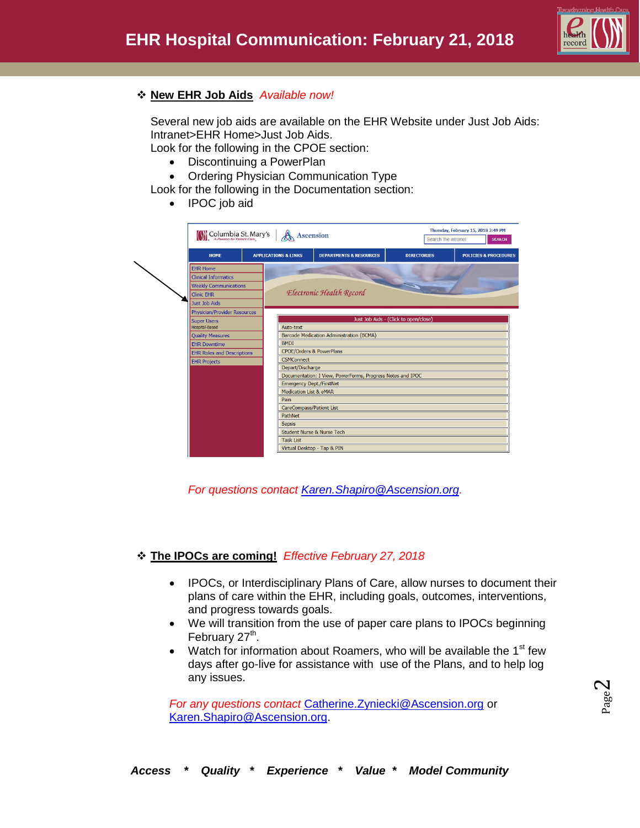

# **New EHR Job Aids** *Available now!*

Several new job aids are available on the EHR Website under Just Job Aids: Intranet>EHR Home>Just Job Aids. Look for the following in the CPOE section:

- Discontinuing a PowerPlan
- Ordering Physician Communication Type

Look for the following in the Documentation section:

• IPOC job aid

| Columbia St. Mary's                 |                                                           | <b>Ascension</b>                                           | Search the intranet                   | Thursday, February 15, 2018 3:49 PM | <b>SEARCH</b>                    |
|-------------------------------------|-----------------------------------------------------------|------------------------------------------------------------|---------------------------------------|-------------------------------------|----------------------------------|
| HOME                                | <b>APPLICATIONS &amp; LINKS</b>                           | <b>DEPARTMENTS &amp; RESOURCES</b>                         | <b>DIRECTORIES</b>                    |                                     | <b>POLICIES &amp; PROCEDURES</b> |
| <b>EHR Home</b>                     |                                                           |                                                            |                                       |                                     |                                  |
| <b>Clinical Informatics</b>         |                                                           |                                                            | <b>COLLEGE</b>                        |                                     |                                  |
| <b>Weekly Communications</b>        |                                                           |                                                            |                                       |                                     |                                  |
| <b>Clinic EHR</b>                   |                                                           | Electronic Health Record                                   |                                       |                                     |                                  |
| Just Job Aids                       |                                                           |                                                            |                                       |                                     |                                  |
| <b>Physician/Provider Resources</b> |                                                           |                                                            |                                       |                                     |                                  |
| <b>Super Users</b>                  |                                                           |                                                            | Just Job Aids - (Click to open/close) |                                     |                                  |
| Hospital-Based                      | Auto-text                                                 |                                                            |                                       |                                     |                                  |
| <b>Quality Measures</b>             |                                                           | Barcode Medication Administration (BCMA)                   |                                       |                                     |                                  |
| <b>EHR Downtime</b>                 | <b>BMDI</b>                                               |                                                            |                                       |                                     |                                  |
| <b>EHR Roles and Descriptions</b>   |                                                           | <b>CPOE/Orders &amp; PowerPlans</b>                        |                                       |                                     |                                  |
| <b>EHR Projects</b>                 | <b>CSMConnect</b>                                         |                                                            |                                       |                                     |                                  |
|                                     | Depart/Discharge                                          |                                                            |                                       |                                     |                                  |
|                                     |                                                           | Documentation: I View, PowerForms, Progress Notes and IPOC |                                       |                                     |                                  |
|                                     | <b>Emergency Dept./FirstNet</b><br>Medication List & eMAR |                                                            |                                       |                                     |                                  |
|                                     | Pain                                                      |                                                            |                                       |                                     |                                  |
|                                     | <b>CareCompass/Patient List</b>                           |                                                            |                                       |                                     |                                  |
|                                     | PathNet                                                   |                                                            |                                       |                                     |                                  |
|                                     | <b>Sepsis</b>                                             |                                                            |                                       |                                     |                                  |
|                                     |                                                           | Student Nurse & Nurse Tech                                 |                                       |                                     |                                  |
|                                     | <b>Task List</b>                                          |                                                            |                                       |                                     |                                  |
|                                     |                                                           | Virtual Desktop - Tap & PIN                                |                                       |                                     |                                  |

*For questions contact [Karen.Shapiro@Ascension.org.](mailto:Karen.Shapiro@Ascension.org)*

# **The IPOCs are coming!** *Effective February 27, 2018*

- IPOCs, or Interdisciplinary Plans of Care, allow nurses to document their plans of care within the EHR, including goals, outcomes, interventions, and progress towards goals.
- We will transition from the use of paper care plans to IPOCs beginning February 27<sup>th</sup>.
- Watch for information about Roamers, who will be available the 1<sup>st</sup> few days after go-live for assistance with use of the Plans, and to help log any issues.

*For any questions contact* [Catherine.Zyniecki@Ascension.org](mailto:Catherine.Zyniecki@Ascension.org) or [Karen.Shapiro@Ascension.org.](mailto:Karen.Shapiro@Ascension.org)